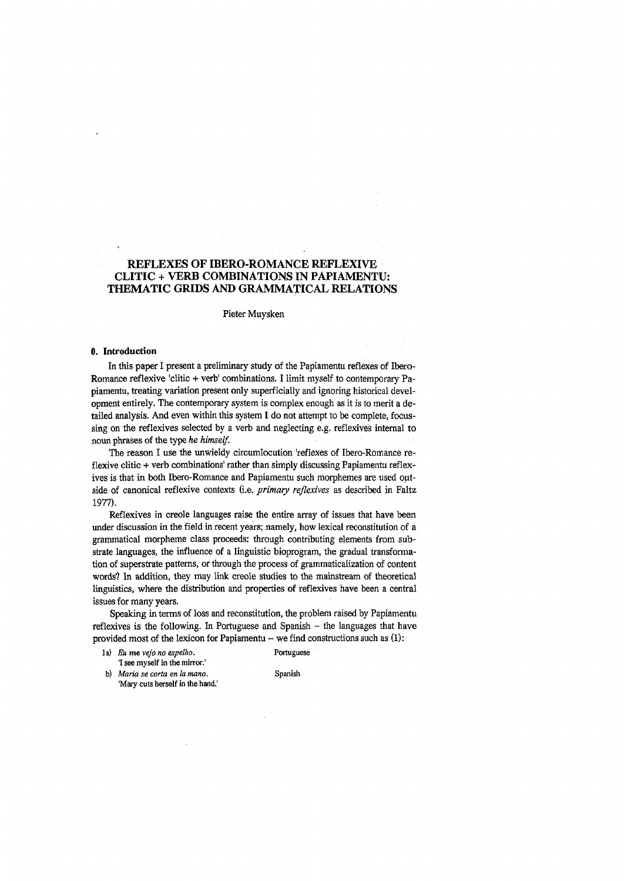# **REFLEXES OF IBERO-ROMANCE REFLEXIVE CLITIC + VERB COMBINATIONS IN PAPIAMENTO: THEMATIC GRIDS AND GRAMMATICAL RELATIONS**

Pieter Muysken

### **0. Introduction**

In this paper I present a preliminary study of the Papiamentu reflexes of Ibero-Romance reflexive 'clitic + verb' combinations. I limit myself to contemporary Papiamentu, treating variation present only superficially and ignoring historical development entirely. The contemporary system is complex enough as it is to merit a detailed analysis. And even within this system I do not attempt to be complete, focussing on the reflexives selected by a verb and neglecting e.g. reflexives internal to noun phrases of the type *he himself.*

The reason I use the unwieldy circumlocution 'reflexes of Ibero-Romance reflexive clitic + verb combinations' rather than simply discussing Papiamentu reflexives is that in both Ibero-Romance and Papiamentu such morphemes are used outside of canonical reflexive contexts (i.e. *primary reflexives* as described in Faltz 1977).

Reflexives in creole languages raise the entire array of issues that have been under discussion in the field in recent years; namely, how lexical reconstitution of a grammatical morpheme class proceeds: through contributing elements from substrate languages, the influence of a linguistic bioprogram, the gradual transformation of superstrate patterns, or through the process of grammaticalization of content words? In addition, they may link creole studies to the mainstream of theoretical linguistics, where the distribution and properties of reflexives have been a central issues for many years.

Speaking in terms of loss and reconstitution, the problem raised by Papiamentu reflexives is the following. In Portuguese and Spanish  $-$  the languages that have provided most of the lexicon for Papiamentu  $-$  we find constructions such as  $(1)$ :

la) *Eu* me *vejo no espelho.* Portuguese '1 see myself in the mirror.'

b) *Maria se corta en la mano*. Spanish 'Mary cuts herself in the hand.'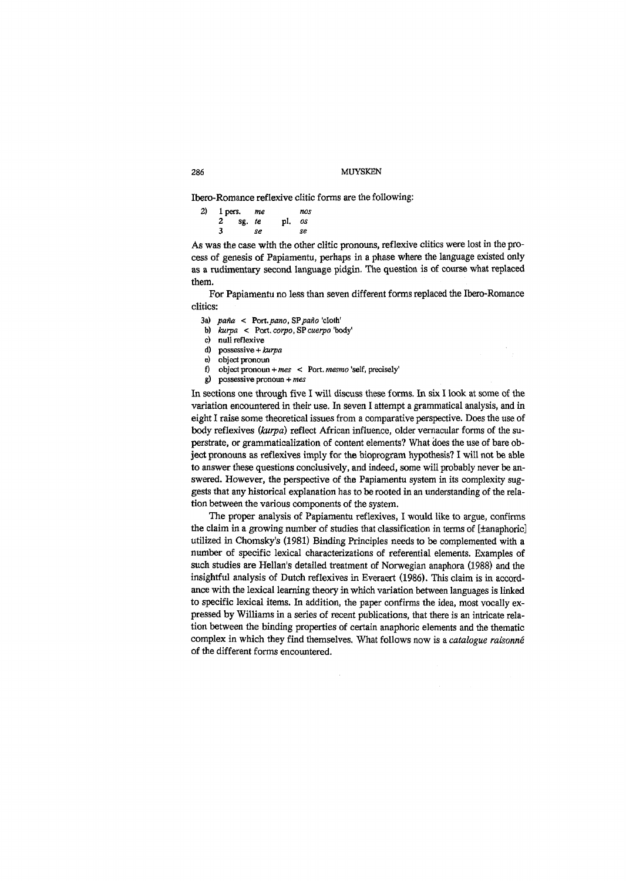Ibero-Romance reflexive clitic forms are the following:

| 2) |   | 1 pers. me |    |        | nos |
|----|---|------------|----|--------|-----|
|    |   | $2$ sg. te |    | pl. os |     |
|    | 3 |            | se |        | se  |

*As* was the case with the other clitic pronouns, reflexive clitics were lost in the process of genesis of Papiamentu, perhaps in a phase where the language existed only as a rudimentary second language pidgin. The question is of course what replaced them.

For Papiamentu no less than seven different forms replaced the Ibero-Romance clitics:

- 3a) *paña <* Port.*paño, SPpaño* 'cloth'
- b) *kurpa* < Port, *corpo,* SP *cuerpo* 'body'
- c) null reflexive
- d) possessive + *kurpa*
- e) object pronoun
- f) object pronoun + *mes* < Port, *mesmo* 'self, precisely'
- g) possessive pronoun + *mes*

In sections one through five I will discuss these forms. In six I look at some of the variation encountered in their use. In seven I attempt a grammatical analysis, and in eight I raise some theoretical issues from a comparative perspective. Does the use of body reflexives *{kurpa)* reflect African influence, older vernacular forms of the superstate, or grammaticalization of content elements? What does the use of bare object pronouns as reflexives imply for the bioprogram hypothesis? I will not be able to answer these questions conclusively, and indeed, some will probably never be answered. However, the perspective of the Papiamentu system in its complexity suggests that any historical explanation has to be rooted in an understanding of the relation between the various components of the system.

The proper analysis of Papiamentu reflexives, I would like to argue, confirms the claim in a growing number of studies that classification in terms of [tanaphoric] utilized in Chomsky's (1981) Binding Principles needs to be complemented with a number of specific lexical characterizations of referential elements. Examples of such studies are Hellan's detailed treatment of Norwegian anaphora (1988) and the insightful analysis of Dutch reflexives in Everaert (1986). This claim is in accordance with the lexical learning theory in which variation between languages is linked to specific lexical items. In addition, the paper confirms the idea, most vocally expressed by Williams in a series of recent publications, that there is an intricate relation between the binding properties of certain anaphoric elements and the thematic complex in which they find themselves. What follows now is a *catalogue raisonné* of the different forms encountered.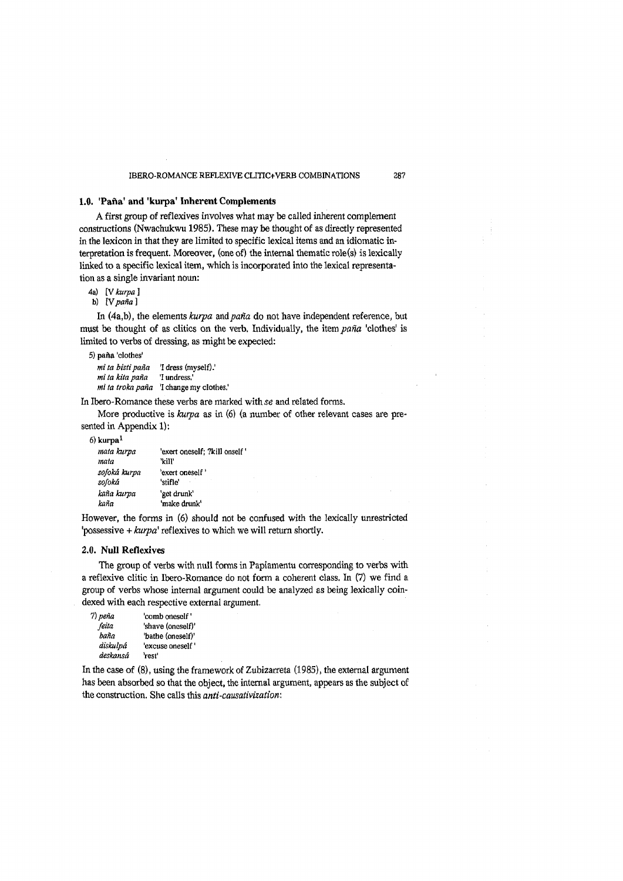## **1.0. 'Paña' and 'kurpa' Inherent Complements**

A first group of reflexives involves what may be called inherent complement constructions (Nwachukwu 1985). These may be thought of as directly represented in the lexicon in that they are limited to specific lexical items and an idiomatic interpretation is frequent. Moreover, (one of) the internal thematic role(s) is lexically linked to a specific lexical item, which is incorporated into the lexical representation as a single invariant noun:

4a) [V *kurpa* ]

b) [V *paña* ]

In (4a,b), the elements *kurpa* and *paña* do not have independent reference, but must be thought of as clitics on the verb. Individually, the item *paña* 'clothes' is limited to verbs of dressing, as might be expected:

5) paña 'clothes' *mi ta bistipaña* '1 dress (myself).' *mi ta kita paña* '1 undress,' *mi ta troka paña* '1 change my clothes.'

In Ibero-Romance these verbs are marked with se and related forms.

More productive is *kurpa* as in (6) (a number of other relevant cases are presented in Appendix 1):

*6)* kurpa1

| mata kurpa   | 'exert oneself; ?kill onself ' |
|--------------|--------------------------------|
| mata         | 'kill'                         |
| sofoká kurpa | 'exert oneself'                |
| sofoká       | 'stifle'                       |
| kaña kurpa   | 'get drunk'                    |
| kaña         | 'make drunk'                   |

However, the forms in (6) should not be confused with the lexically unrestricted 'possessive + *kurpa'* reflexives to which we will return shortly.

## **2.0. Null Reflexives**

The group of verbs with null forms in Papiamentu corresponding to verbs with a reflexive clitic in Ibero-Romance do not form a coherent class. In (7) we find a group of verbs whose internal argument could be analyzed as being lexically coindexed with each respective external argument.

| 7) рейа  | 'comb oneself'    |
|----------|-------------------|
| feita    | 'shave (oneself)' |
| baña     | 'bathe (oneself)' |
| diskulpá | 'excuse oneself'  |
| deskansâ | 'rest'            |

In the case of (8), using the framework of Zubizarreta (1985), the external argument has been absorbed so that the object, the internal argument, appears as the subject of the construction. She calls this *anti-causativizatiom*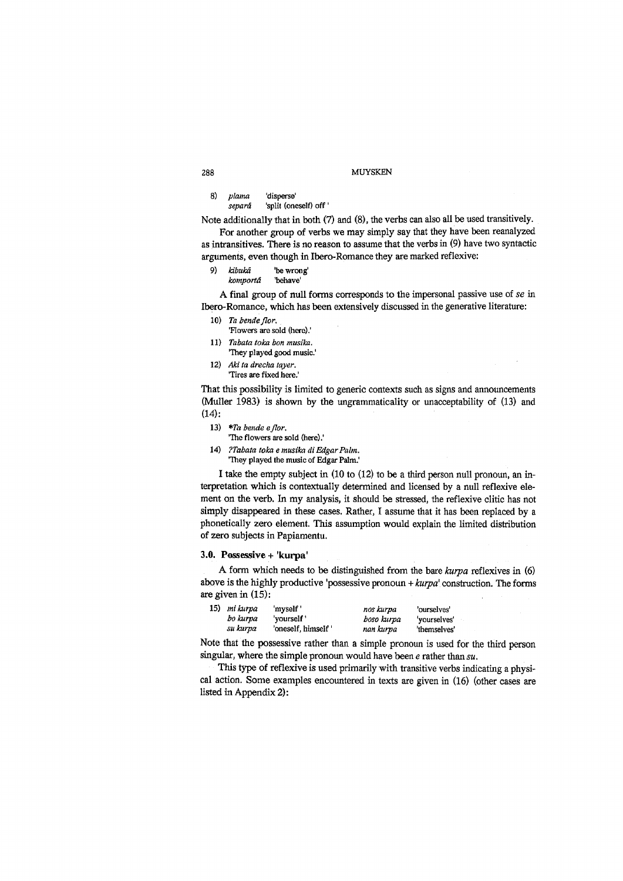8) *plama* 'disperse' separá 'split (oneself) off '

Note additionally that in both (7) and (8), the verbs can also all be used transitively.

For another group of verbs we may simply say that they have been reanalyzed as intransitives. There is no reason to assume that the verbs in (9) have two syntactic arguments, even though in Ibero-Romance they are marked reflexive:

- 9) *kibuka* 'be wrong'
	- *komporta* 'behave'

A final group of null forms corresponds to the impersonal passive use of *se* in Ibero-Romance, which has been extensively discussed in the generative literature:

- 10) *Ta bende flor,*
- 'Flowers are sold (here).'
- 11) *Tabata toka bon musika.*
	- 'They played good music.'
- 12) Aki ta drecha tayer. 'Tires are fixed here.'

That this possibility is limited to generic contexts such as signs and announcements (Muller 1983) is shown by the ungrammaticality or unacceptability of (13) and  $(14)$ :

- 13) *\*Ta bende eflor.*
- 'The flowers are sold (here).'
- 14) *?Tabata toka e musika di Edgar Palm.* 'They played the music of Edgar Palm.'

I take the empty subject in (10 to (12) to be a third person null pronoun, an interpretation which is contextually determined and licensed by a null reflexive element on the verb. In my analysis, it should be stressed, the reflexive clitic has not simply disappeared in these cases. Rather, I assume that it has been replaced by a phonetically zero element. This assumption would explain the limited distribution of zero subjects in Papiamentu.

### **3.0. Possessive + 'kurpa'**

A form which needs to be distinguished from the bare *kurpa* reflexives in (6) above is the highly productive 'possessive pronoun + *kurpa'* construction. The forms are given in (15):

| 15) | mi kurpa<br>bo kurpa<br>su kurpa | myself'<br>'vourself'<br>'oneself, himself | nos kurpa<br>boso kurpa<br>nan kurpa | 'ourselves'<br>'yourselves'<br>'themselves' |  |
|-----|----------------------------------|--------------------------------------------|--------------------------------------|---------------------------------------------|--|
|     |                                  |                                            |                                      |                                             |  |

Note that the possessive rather than a simple pronoun is used for the third person singular, where the simple pronoun would have been *e* rather than *su.*

This type of reflexive is used primarily with transitive verbs indicating a physical action. Some examples encountered in texts are given in (16) (other cases are listed in Appendix 2):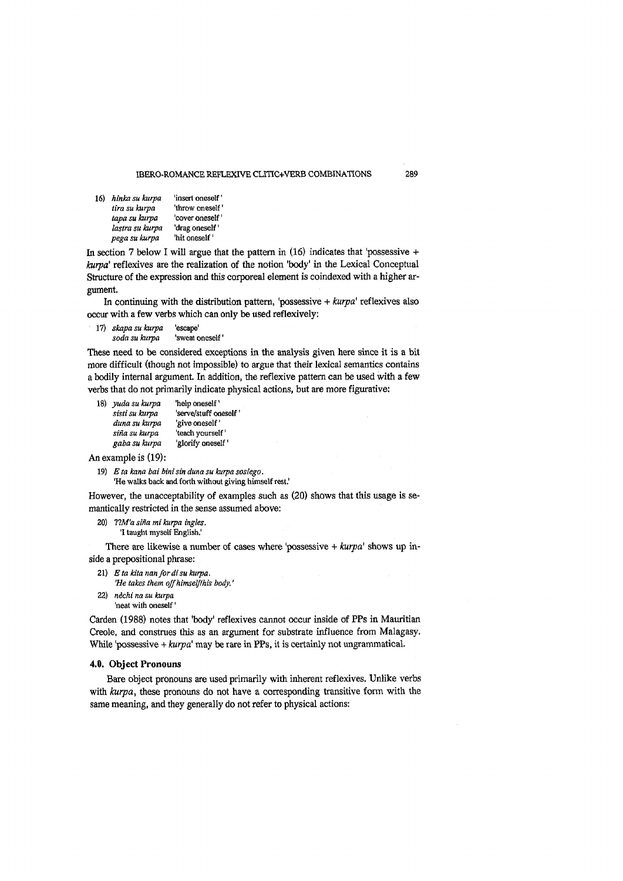| 16) | hinka su kurpa  | 'insert oneself' |
|-----|-----------------|------------------|
|     | tira su kurpa   | 'throw oneself'  |
|     | tapa su kurpa   | 'cover oneself'  |
|     | lastra su kurpa | 'drag oneself    |
|     | pega su kurpa   | 'hit oneself '   |

In section 7 below I will argue that the pattern in  $(16)$  indicates that 'possessive + *kurpa'* reflexives are the realization of the notion 'body' in the Lexical Conceptual Structure of the expression and this corporeal element is coindexed with a higher argument.

In continuing with the distribution pattern, 'possessive + *kurpa'* reflexives also occur with a few verbs which can only be used reflexively:

17) *skapa su kurpa* 'escape' *soda su kurpa* 'sweat oneself'

These need to be considered exceptions in the analysis given here since it is a bit more difficult (though not impossible) to argue that their lexical semantics contains a bodily internal argument. In addition, the reflexive pattern can be used with a few verbs that do not primarily indicate physical actions, but are more figurative:

18) *yuda su kurpa* 'help oneself' sisti su kurpa 'serve/stuff oneself' *duna su kurpa* 'give oneself' *sina su kurpa* 'teach yourself' *gaba su kurpa* 'glorify oneself'

An example is (19):

19) *Eta kana bai bini sin duna su kurpa sosiego.* 'He walks back and forth without giving himself rest.'

However, the unacceptability of examples such as (20) shows that this usage is semantically restricted in the sense assumed above:

- 20) *V.M'a sina ini kurpa ingles.*
	- '1 taught myself English.'

There are likewise a number of cases where 'possessive + *kurpa'* shows up inside a prepositional phrase:

- 21) *E ta kita nan fordisu kurpa.* 'He takes them off himself/his body.'
- 22) *nechi na su kurpa* 'neat with oneself'

Carden (1988) notes that 'body' reflexives cannot occur inside of PPs in Mauritian Creole, and construes this as an argument for substrate influence from Malagasy. While 'possessive + *kurpa'* may be rare in PPs, it is certainly not ungrammatical.

## **4.0. Object Pronouns**

Bare object pronouns are used primarily with inherent reflexives. Unlike verbs with *kurpa*, these pronouns do not have a corresponding transitive form with the same meaning, and they generally do not refer to physical actions: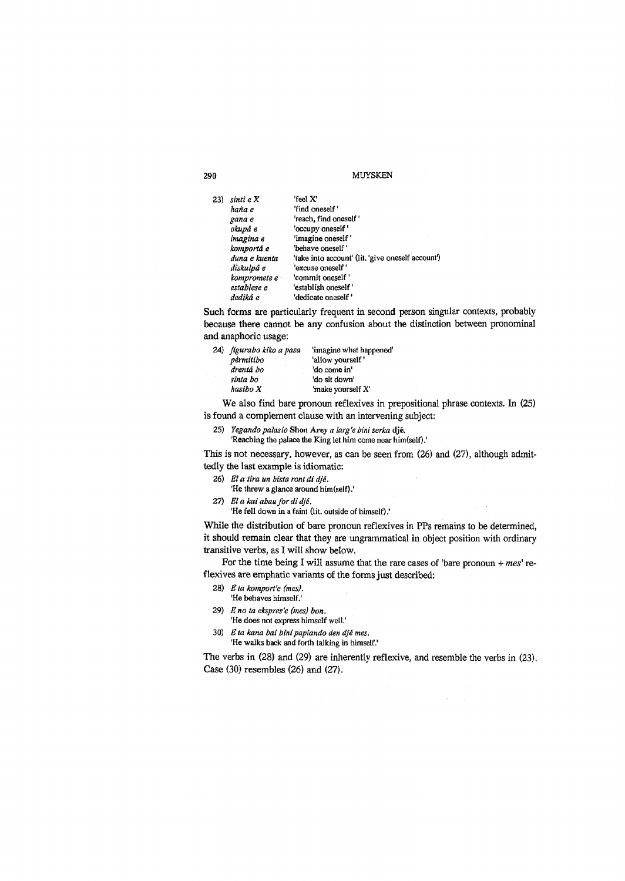| 23) | sinti e X     | feel X'                                           |
|-----|---------------|---------------------------------------------------|
|     | haña e        | 'find oneself'                                    |
|     | gana e        | reach, find oneself                               |
|     | okupá e       | 'occupy oneself'                                  |
|     | imagina e     | 'imagine oneself'                                 |
|     | komportá e    | "behave oneself"                                  |
|     | duna e kuenta | 'take into account' (lit. 'give oneself account') |
|     | diskulpá e    | 'excuse oneself'                                  |
|     | kompromete e  | 'commit oneself'                                  |
|     | establese e   | 'establish oneself '                              |
|     | dediká e      | 'dedicate oneself '                               |

Such forms are particularly frequent in second person singular contexts, probably because there cannot be any confusion about the distinction between pronominal and anaphoric usage:

| 24) figurabo kiko a pasa | 'imagine what happened' |
|--------------------------|-------------------------|
| permitibo                | 'allow yourself'        |
| drentá bo                | 'do come in'            |
| sinta bo                 | 'do sit down'           |
| hasibo X                 | 'make yourself X'       |

We also find bare pronoun reflexives in prepositional phrase contexts. In (25) is found a complement clause with an intervening subject:

- 25) *Yegandopalasio* Shon Arey *a larg'e bini serka* dje,
	- 'Reaching the palace the King let him come near him (self).'

This is not necessary, however, as can be seen from (26) and (27), although admittedly the last example is idiomatic:

- 26) *E! a lira un bista ront di dje.*
- 'He threw a glance around him(self).'
- 27) *El a kai abau for di dje,*

'He fell down in a faint (lit. outside of himself).'

While the distribution of bare pronoun reflexives in PPs remains to be determined, it should remain clear that they are ungrammatical in object position with ordinary transitive verbs, as I will show below.

For the time being I will assume that the rare cases of 'bare pronoun + *mes'* reflexives are emphatic variants of the forms just described:

- 28) *E ta komport'e (mes).* 'He behaves himself.'
- 
- 29) *Eno ta ekspres'e (mes) bon.* 'He does not express himself well.'
- 30) *E ta kana bai binipapiando den dje mes.* 'He walks back and forth talking in himself.'

The verbs in (28) and (29) are inherently reflexive, and resemble the verbs in (23). Case (30) resembles (26) and (27).

 $\epsilon = \frac{1}{2}$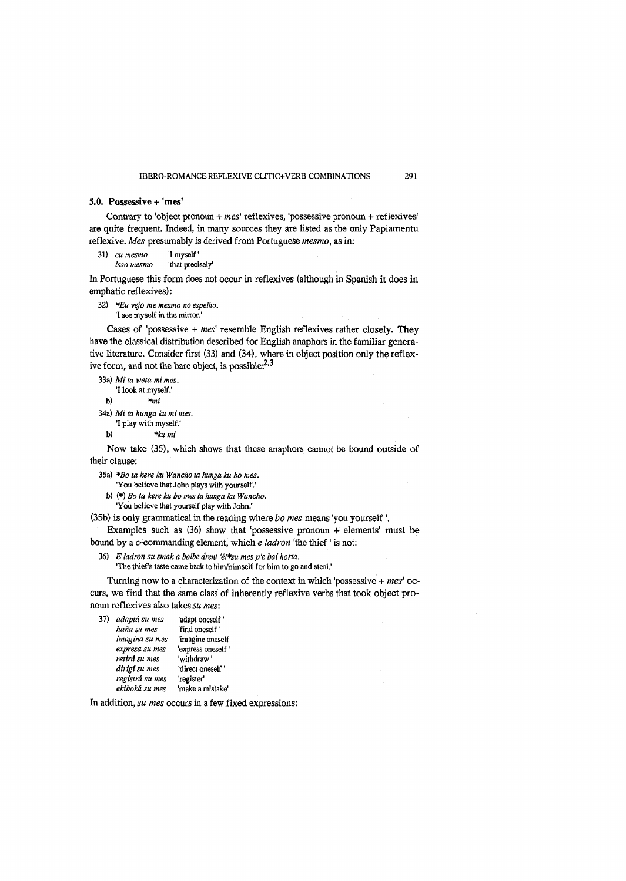## **5.0. Possessive + 'mes'**

Contrary to 'object pronoun + *mes'* reflexives, 'possessive pronoun + reflexives' are quite frequent. Indeed, in many sources they are listed as the only Papiamentu reflexive. *Mes* presumably is derived from Portuguese *mesmo,* as in:

- 31) eu mesmo 'I myself'
	- *isso mesmo* 'that precisely'

In Portuguese this form does not occur in reflexives (although in Spanish it does in emphatic reflexives):

32) *\*Eu vejo me mesmo no espelho.*

'1 see myself in the mirror.'

Cases of 'possessive + *mes'* resemble English reflexives rather closely. They have the classical distribution described for English anaphors in the familiar generative literature. Consider first (33) and (34), where in object position only the reflexive form, and not the bare object, is possible. $^{2,3}$ 

33a) *Mi ta weta mimes.*

'1 look at myself.'

b) *\*mi*

34a) *Mi ta hunga ku mi mes.* '1 play with myself.'

b) *\*ku mi*

Now take (35), which shows that these anaphors cannot be bound outside of their clause:

35a) *\*Bo ta here ku Wancho ta hunga ku bo mes.*

'You believe that John plays with yourself.'

b) (\*) *Bo ta kere ku bo mes ta hunga ku Wancho.* 'You believe that yourself play with John.'

(35b) is only grammatical in the reading where *bo mes* means 'you yourself \

Examples such as  $(36)$  show that 'possessive pronoun + elements' must be bound by a c-commanding element, which *e ladron* 'the thief' is not:

36) *E ladron su smak a bolbe drent 'e/\*su mes p'e bai horta.*

'The thief's taste came back to him/himself for him to go and steal.'

Turning now to a characterization of the context in which 'possessive + *mes'* occurs, we find that the same class of inherently reflexive verbs that took object pronoun reflexives also takes *su mes*:

| 37) | adaptá su mes   | 'adapt oneself '   |
|-----|-----------------|--------------------|
|     | haña su mes     | 'find oneself'     |
|     | imagina su mes  | 'imagine oneself'  |
|     | expresa su mes  | 'express oneself ' |
|     | retirá su mes   | 'withdraw'         |
|     | dirigí su mes   | 'direct oneself'   |
|     | registrá su mes | 'register'         |
|     | ekiboká su mes  | 'make a mistake'   |

In addition, *su mes* occurs in a few fixed expressions: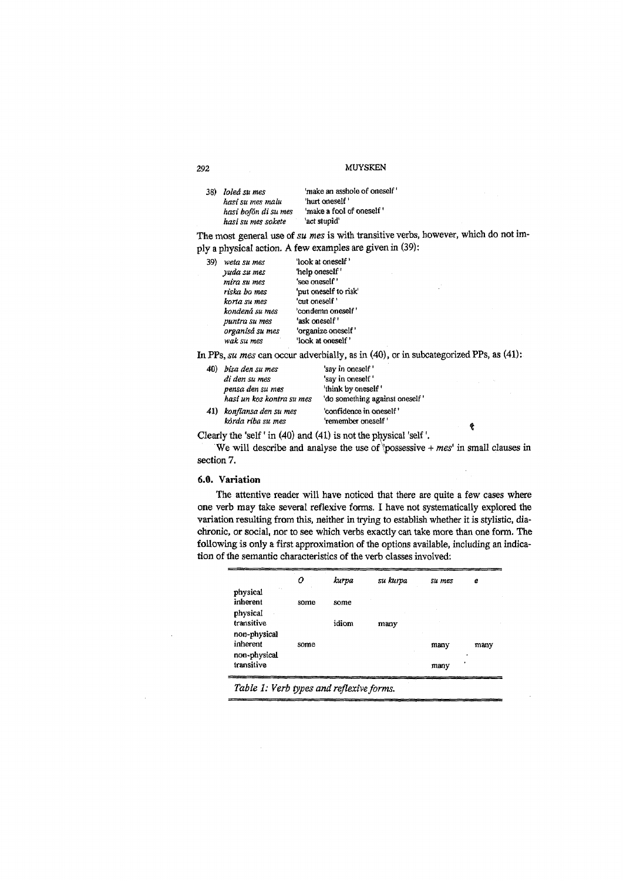| 38) loleá su mes     | 'make an asshole of oneself' |
|----------------------|------------------------------|
| hasi su mes malu     | 'hurt oneself'               |
| hasi bofón di su mes | 'make a fool of oneself'     |
| hasi su mes sokete   | 'act stupid'                 |

The most general use of *su mes* is with transitive verbs, however, which do not imply a physical action. A few examples are given in (39):

J.

 $\hat{\mathbf{r}}$ 

| 39) | weta su mes     | 'look at oneself'     |
|-----|-----------------|-----------------------|
|     | yuda su mes     | 'help oneself'        |
|     | mira su mes     | 'see oneself'         |
|     | riska bo mes    | 'put oneself to risk' |
|     | korta su mes    | 'cut oneself'         |
|     | kondená su mes  | 'condemn oneself'     |
|     | puntra su mes   | 'ask oneself'         |
|     | organisá su mes | 'organize oneself'    |
|     | wak su mes      | look at oneself'      |

In PPs, *su mes* can occur adverbially, as in (40), or in subcategorized PPs, as (41):

| 40) | bisa den su mes           | 'say in oneself '              |
|-----|---------------------------|--------------------------------|
|     | di den su mes             | 'say in oneself'               |
|     | pensa den su mes          | 'think by oneself'             |
|     | hasi un kos kontra su mes | 'do something against oneself' |
|     | 41) konfiansa den su mes  | 'confidence in oneself'        |
|     | kòrda riba su mes         | 'remember oneself'             |

Clearly the 'self' in (40) and (41) is not the physical 'self'.

We will describe and analyse the use of *'possessive + mes'* in small clauses in section 7.

## **6.0. Variation**

The attentive reader will have noticed that there are quite a few cases where one verb may take several reflexive forms. I have not systematically explored the variation resulting from this, neither in trying to establish whether it is stylistic, diachronic, or social, nor to see which verbs exactly can take more than one form. The following is only a first approximation of the options available, including an indication of the semantic characteristics of the verb classes involved:

| $\sim$ .<br>physical<br>inherent<br>some<br>some<br>physical<br>transitive<br>idiom |      |           |
|-------------------------------------------------------------------------------------|------|-----------|
|                                                                                     |      |           |
|                                                                                     | many |           |
| non-physical<br>inherent<br>some<br>non-physical                                    | many | many<br>٠ |
| transitive                                                                          | many |           |

*Table 1: Verb types and reflexive forms.*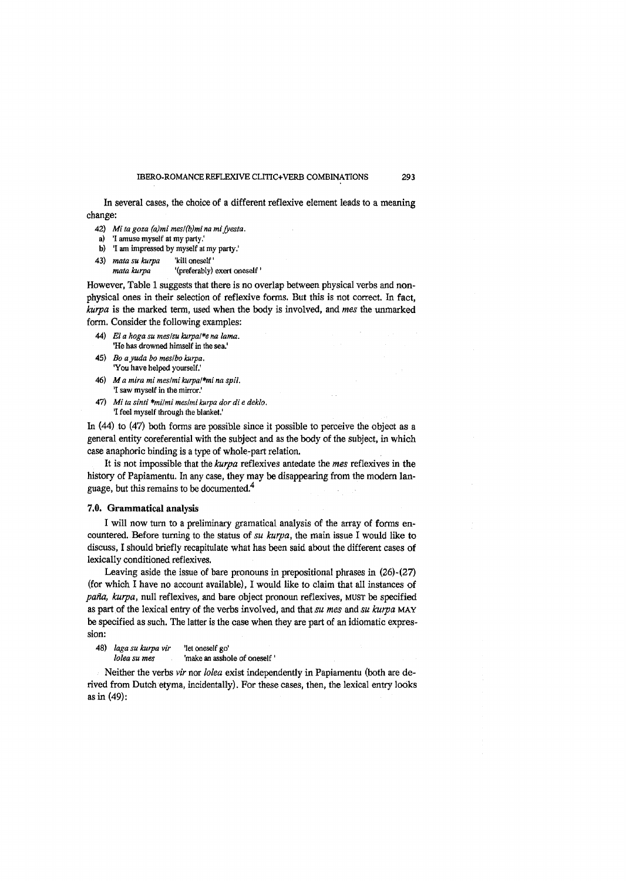In several cases, the choice of a different reflexive element leads to a meaning change:

- 42) *Mi ta goza (a)mi mes!(b)mi na mifyesta.*
- a) '1 amuse myself at my party.'
- b) '1 am impressed by myself at my party.'
- 43) *mata su kurpa* 'kill oneself' *mata kurpa* '(preferably) exert oneself'

However, Table 1 suggests that there is no overlap between physical verbs and nonphysical ones in their selection of reflexive forms. But this is not correct. In fact, *kurpa* is the marked term, used when the body is involved, and *mes* the unmarked form. Consider the following examples:

- 44) *El a hoga su mes/su kurpal\*e na lama.* 'He has drowned himself in the sea.'
- 45) *Bo a yuda bo mes/bo kurpa.* 'You have helped yourself.'
- 46) *M a mira mi mes/mi kurpal\*mi na spil.* 'I saw myself in the mirror.'
- 47) *Mi ta sinti \*milmi mes/mi kurpa dor di e deklo*, 'I feel myself through the blanket.'

In (44) to (47) both forms are possible since it possible to perceive the object as a general entity coreferential with the subject and as the body of the subject, in which case anaphoric binding is a type of whole-part relation.

It is not impossible that the *kurpa* reflexives antedate the *mes* reflexives in the history of Papiamentu. In any case, they may be disappearing from the modem language, but this remains to be documented.<sup>4</sup>

### **7.0. Grammatical analysis**

I will now turn to a preliminary gramatical analysis of the array of forms encountered. Before turning to the status of su kurpa, the main issue I would like to discuss, I should briefly recapitulate what has been said about the different cases of lexically conditioned reflexives.

Leaving aside the issue of bare pronouns in prepositional phrases in (26)-(27) (for which I have no account available), I would like to claim that all instances of paña, kurpa, null reflexives, and bare object pronoun reflexives, MUST be specified as part of the lexical entry of the verbs involved, and that *su mes* and *su kurpa* MAY be specified as such. The latter is the case when they are part of an idiomatic expression:

48) *laga su kurpa vir* 'let oneself go'

*loleasumes* 'make an asshole of oneself'

Neither the verbs *vir* nor *lolea* exist independently in Papiamentu (both are derived from Dutch etyma, incidentally). For these cases, then, the lexical entry looks as in (49):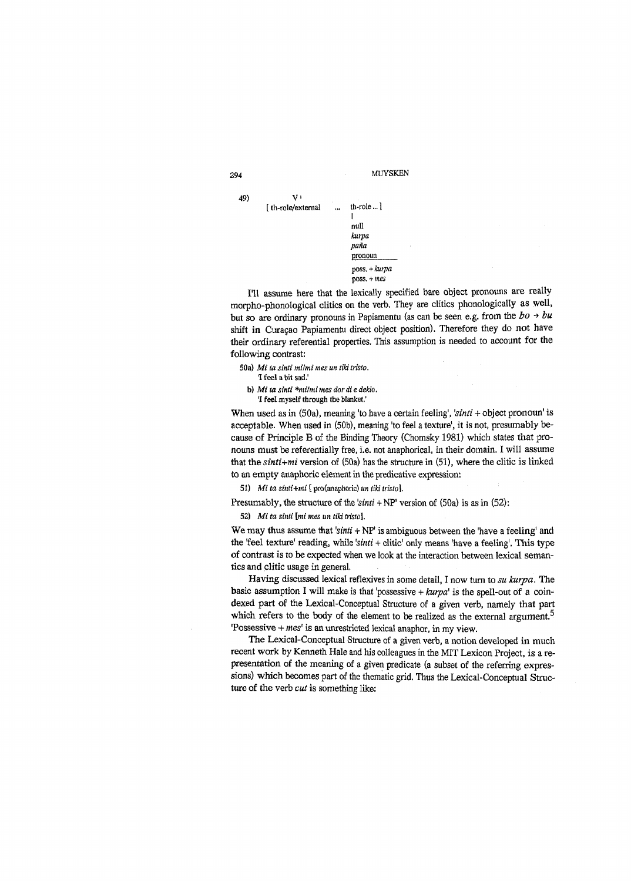

I'll assume here that the lexically specified bare object pronouns are really morpho-phonological clitics on the verb. They are clitics phonologically as well, but so are ordinary pronouns in Papiamentu (as can be seen e.g. from the  $bo \rightarrow bu$ shift in Curagao Papiamentu direct object position). Therefore they do not have their ordinary referential properties. This assumption is needed to account for the following contrast:

50a) *M i ta sinti milmi mes un tiki tristo.* '1 feel a bit sad.'

b) *Mi ta sinti \*milmi mes dor di e deklo.* '1 feel myself through the blanket.'

When used as in (50a), meaning 'to have a certain feeling', *'sinti +* object pronoun' is acceptable. When used in (50b), meaning 'to feel a texture', it is not, presumably because of Principle B of the Binding Theory (Chomsky 1981) which states that pronouns must be referentially free, i.e. not anaphorical, in their domain. I will assume that the *sinti+mi* version of (50a) has the structure in (51), where the clitic is linked to an empty anaphoric element in the predicative expression:

51) *Mi ta sinti+mi* [ pro(anaphoric) *un tiki tristo].*

Presumably, the structure of the *'sinti* + NP' version of (50a) is as in (52):

52) *Mi ta sinti* [mi *mes un tiki tristo}.*

We may thus assume that 'sinti + NP' is ambiguous between the 'have a feeling' and the 'feel texture' reading, while *'sinti* + clitic' only means 'have a feeling'. This type of contrast is to be expected when we look at the interaction between lexical semantics and clitic usage in general.

Having discussed lexical reflexives in some detail, I now turn to *su kurpa.* The basic assumption I will make is that 'possessive +  $kurpa'$  is the spell-out of a coindexed part of the Lexical-Conceptual Structure of a given verb, namely that part which refers to the body of the element to be realized as the external argument.<sup>5</sup> 'Possessive + *mes'* is an unrestricted lexical anaphor, in my view.

The Lexical-Conceptual Structure of a given verb, a notion developed in much recent work by Kenneth Hale and his colleagues in the MIT Lexicon Project, is a representation of the meaning of a given predicate (a subset of the referring expressions) which becomes part of the thematic grid. Thus the Lexical-Conceptual Structure of the verb *cut* is something like: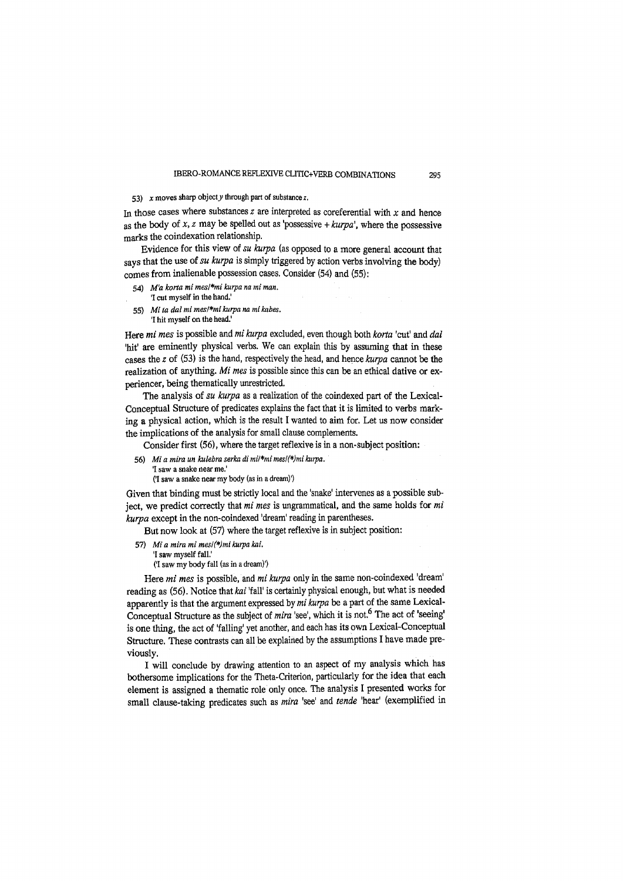## 53) *x* moves sharp object *y* through part of substance *z*.

In those cases where substances  $z$  are interpreted as coreferential with  $x$  and hence as the body of *x, z* may be spelled out as 'possessive + *kurpa',* where the possessive marks the coindexation relationship.

Evidence for this view of *su kurpa* (as opposed to a more general account that says that the use of *su kurpa* is simply triggered by action verbs involving the body) comes from inalienable possession cases. Consider (54) and (55):

- 54) *M'a korta mi mesl\*mi kurpa na mi man.*
- '1 cut myself in the hand.'
- 55) *Mi ta dal mi mes/\*mi kurpa na mi kabes.* '1 hit myself on the head.'

Here *mi mes* is possible and *mi kurpa* excluded, even though both *korta* 'cut' and *dal* 'hit' are eminently physical verbs. We can explain this by assuming that in these cases the *z* of (53) is the hand, respectively the head, and hence *kurpa* cannot be the realization of anything. *Mi mes* is possible since this can be an ethical dative or experiencer, being thematically unrestricted.

The analysis of *su kurpa* as a realization of the coindexed part of the Lexical-Conceptual Structure of predicates explains the fact that it is limited to verbs marking a physical action, which is the result I wanted to aim for. Let us now consider the implications of the analysis for small clause complements.

Consider first (56), where the target reflexive is in a non-subject position:

- 56) *Mi a mira un kulebra serka di mi/\*mi mesl(\*)mi kurpa.*
	- '1 saw a snake near me.'

('1 saw a snake near my body (as in a dream)')

Given that binding must be strictly local and the 'snake' intervenes as a possible subject, we predict correctly that *mi mes* is ungrammatical, and the same holds for *mi kurpa* except in the non-coindexed 'dream' reading in parentheses.

But now look at (57) where the target reflexive is in subject position:

57) *Mi a mira mi mesl(\*)mi kurpa kai.*

'1 saw myself fall.' ('1 saw my body fall (as in a dream)')

Here *mi mes* is possible, and *mi kurpa* only in the same non-coindexed 'dream' reading as (56). Notice that *kai* 'fall' is certainly physical enough, but what is needed apparently is that the argument expressed by *mi kurpa* be a part of the same Lexical-Conceptual Structure as the subject of *mira* 'see', which it is not.6 The act of 'seeing' is one thing, the act of 'falling' yet another, and each has its own Lexical-Conceptual Structure. These contrasts can all be explained by the assumptions I have made previously.

I will conclude by drawing attention to an aspect of my analysis which has bothersome implications for the Theta-Criterion, particularly for the idea that each element is assigned a thematic role only once. The analysis I presented works for small clause-taking predicates such as *mira* 'see' and *tende* 'hear' (exemplified in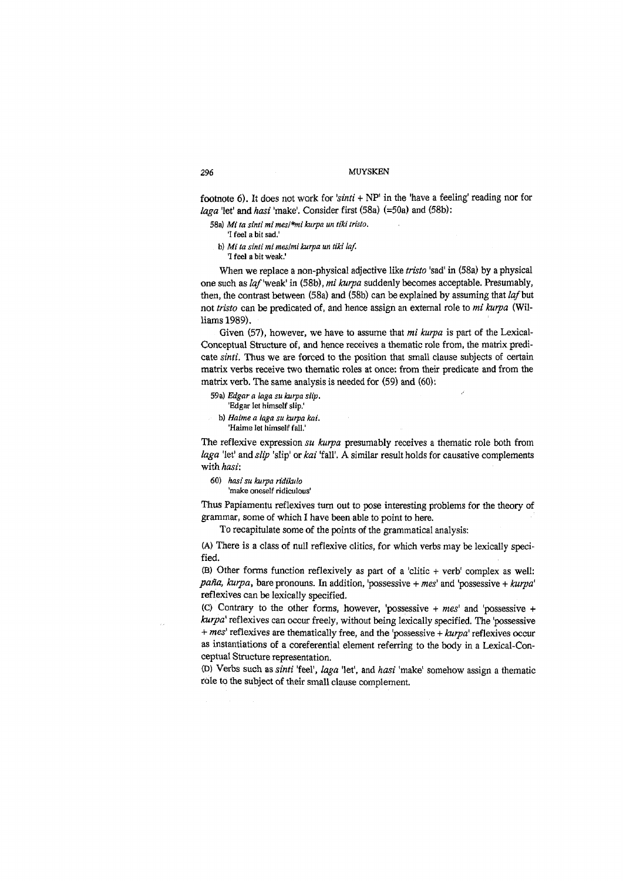footnote 6). It does not work for *'sinti* + NP' in the 'have a feeling' reading nor for *laga* 'let' and *hasi* 'make'. Consider first (58a) (=50a) and (58b):

58a) *Mi ta sinti mi mesl\*mi kurpa un tiki tristo.*

'I feel a bit sad,'

b) *Mi ta sinti mi meslmi kurpa un tiki laf.*

'I feel a bit weak.'

When we replace a non-physical adjective like *tristo* 'sad' in (58a) by a physical one such as *laf* 'weak' in (58b), *mi kurpa* suddenly becomes acceptable. Presumably, then, the contrast between (58a) and (58b) can be explained by assuming that *laf* but not *tristo* can be predicated of, and hence assign an external role to *mi kurpa* (Williams 1989),

Given (57), however, we have to assume that *mi kurpa* is part of the Lexical-Conceptual Structure of, and hence receives a thematic role from, the matrix predicate *sinti.* Thus we are forced to the position that small clause subjects of certain matrix verbs receive two thematic roles at once: from their predicate and from the matrix verb. The same analysis is needed for (59) and (60):

59a) *Edgar a laga su kurpa slip.*

- 'Edgar let himself slip.'
- b) *Haime a laga su kurpa kai.* 'Haime let himself fall.'

The reflexive expression *su kurpa* presumably receives a thematic role both from *laga* 'let' and *slip* 'slip' or *kai* 'fall'. A similar result holds for causative complements with *hasi*:

- 60) *hasi su kurpa ridikulo*
	- 'make oneself ridiculous'

Thus Papiamentu reflexives turn out to pose interesting problems for the theory of grammar, some of which I have been able to point to here.

To recapitulate some of the points of the grammatical analysis:

(A) There is a class of null reflexive clitics, for which verbs may be lexically specified.

(B) Other forms function reflexively as part of a 'clitic + verb' complex as well: *paña, kurpa,* bare pronouns. In addition, 'possessive + *mes'* and 'possessive + *kurpa'* reflexives can be lexically specified.

(C) Contrary to the other forms, however, 'possessive + *mes'* and 'possessive + *kurpa'* reflexives can occur freely, without being lexically specified. The 'possessive + *mes'* reflexives are thematically free, and the 'possessive + *kurpa'* reflexives occur as instantiations of a coreferential element referring to the body in a Lexical-Conceptual Structure representation.

(D) Verbs such as *sinti* 'feel', *laga* 'let1, and *hasi* 'make' somehow assign a thematic role to the subject of their small clause complement.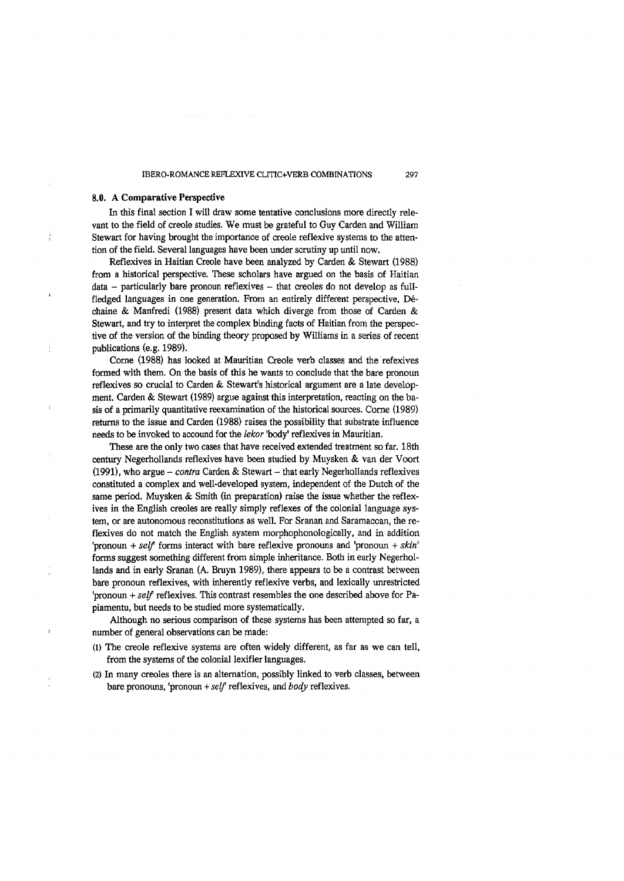## **8.0. A Comparative Perspective**

In this final section I will draw some tentative conclusions more directly relevant to the field of creole studies. We must be grateful to Guy Carden and William Stewart for having brought the importance of creole reflexive systems to the attention of the field. Several languages have been under scrutiny up until now.

Reflexives in Haitian Creole have been analyzed by Carden & Stewart (1988) from a historical perspective. These scholars have argued on the basis of Haitian data - particularly bare pronoun reflexives - that creoles do not develop as fullfledged languages in one generation. From an entirely different perspective, Déchaîne & Manfredi (1988) present data which diverge from those of Carden & Stewart, and try to interpret the complex binding facts of Haitian from the perspective of the version of the binding theory proposed by Williams in a series of recent publications (e.g. 1989).

Come (1988) has looked at Mauritian Creole verb classes and the refexives formed with them. On the basis of this he wants to conclude that the bare pronoun reflexives so crucial to Carden & Stewart's historical argument are a late development. Carden & Stewart (1989) argue against this interpretation, reacting on the basis of a primarily quantitative reexamination of the historical sources. Come (1989) returns to the issue and Carden (1988) raises the possibility that substrate influence needs to be invoked to accound for the *lekor* 'body' reflexives in Mauritian.

These are the only two cases that have received extended treatment so far. 18th century Negerhollands reflexives have been studied by Muysken & van der Voort (1991), who argue - *contra* Carden & Stewart - that early Negerhollands reflexives constituted a complex and well-developed system, independent of the Dutch of the same period. Muysken & Smith (in preparation) raise the issue whether the reflexives in the English creoles are really simply reflexes of the colonial language system, or are autonomous reconstitutions as well. For Sranan and Saramaccan, the reflexives do not match the English system morphophonologically, and in addition 'pronoun + *self* forms interact with bare reflexive pronouns and 'pronoun + *skin'* forms suggest something different from simple inheritance. Both in early Negerhollands and in early Sranan (A. Bruyn 1989), there appears to be a contrast between bare pronoun reflexives, with inherently reflexive verbs, and lexically unrestricted 'pronoun + *self* reflexives. This contrast resembles the one described above for Papiamentu, but needs to be studied more systematically.

Although no serious comparison of these systems has been attempted so far, a number of general observations can be made:

- (1) The creole reflexive systems are often widely different, as far as we can tell, from the systems of the colonial lexifier languages.
- (2) In many creoles there is an alternation, possibly linked to verb classes, between bare pronouns, 'pronoun + *self* reflexives, and *body* reflexives.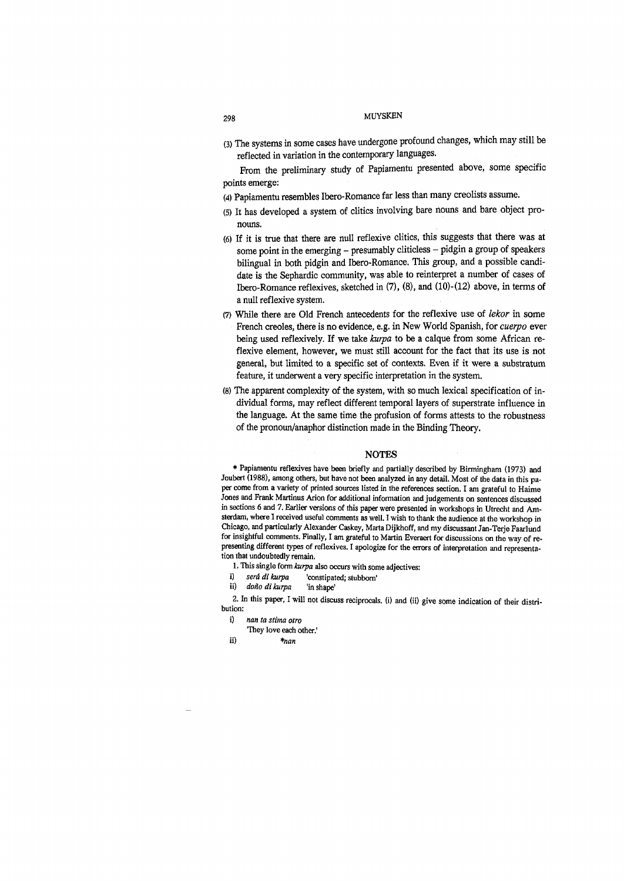## 298 m u y sk en market af med af med af med af med af med af med af med af med af med af med af med af med af m

(3) The systems in some cases have undergone profound changes, which may still be reflected in variation in the contemporary languages.

From the preliminary study of Papiamentu presented above, some specific points emerge:

- (4) Papiamentu resembles Ibero-Romance far less than many creolists assume.
- (5) It has developed a system of clitics involving bare nouns and bare object pronouns.
- (6) If it is true that there are null reflexive clitics, this suggests that there was at some point in the emerging  $-$  presumably cliticless  $-$  pidgin a group of speakers bilingual in both pidgin and Ibero-Romance. This group, and a possible candidate is the Sephardic community, was able to reinterpret a number of cases of Ibero-Romance reflexives, sketched in (7), (8), and (10)-(12) above, in terms of a null reflexive system.
- (7) While there are Old French antecedents for the reflexive use of *lekor* in some French creoles, there is no evidence, e.g. in New World Spanish, for *cuerpo* ever being used reflexively. If we take *kurpa* to be a caique from some African reflexive element, however, we must still account for the fact that its use is not general, but limited to a specific set of contexts. Even if it were a substratum feature, it underwent a very specific interpretation in the system.
- (8) The apparent complexity of the system, with so much lexical specification of individual forms, may reflect different temporal layers of superstate influence in the language. At the same time the profusion of forms attests to the robustness of the pronoun/anaphor distinction made in the Binding Theory.

#### **NOTES**

\* Papiamentu reflexives have been briefly and partially described by Birmingham (1973) and Joubert (1988), among others, but have not been analyzed in any detail. Most of the data in this paper come from a variety of printed sources listed in the references section. I am grateful to Haime Jones and Frank Martinus Arion for additional information and judgements on sentences discussed in sections 6 and 7. Earlier versions of this paper were presented in workshops in Utrecht and Amsterdam, where I received useful comments as well. I wish to thank the audience at the workshop in Chicago, and particularly Alexander Caskey, Marta Dijkhoff, and my discussant Jan-Terje Faarlund for insightful comments. Finally, I am grateful to Martin Everaert for discussions on the way of representing different types of reflexives. I apologize for the errors of interpretation and representation that undoubtedly remain.

- 1. This single form *kurpa* also occurs with some adjectives:
- i) *será di kurpa* 'constipated; stubborn'
- ii) *dofto di kurpa* 'in shape'

2. In this paper, I will not discuss reciprocals, (i) and (ii) give some indication of their distribution:

- i) *nan ta stima otro*
	- "They love each other.'
- ii) *\*nan*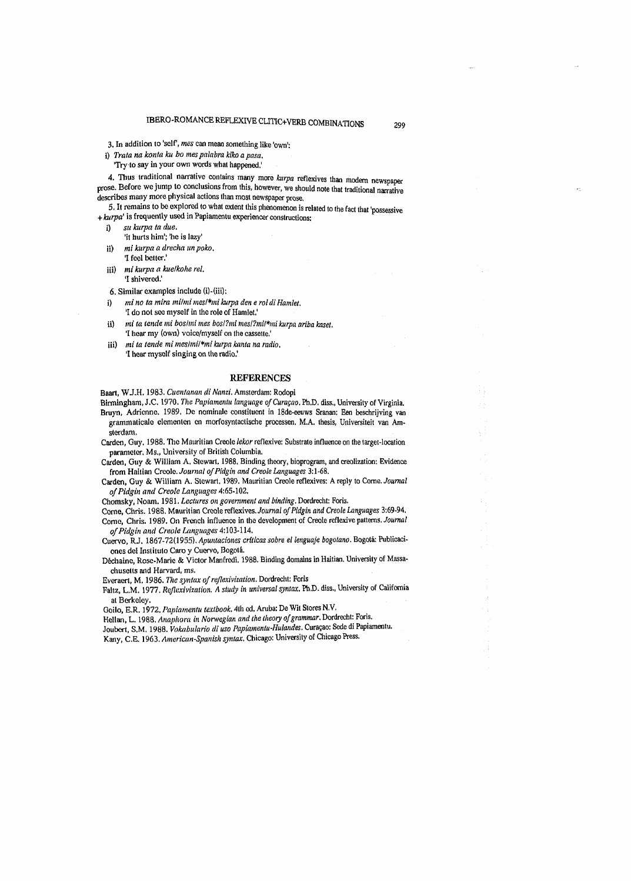3. In addition to 'self', mes can mean something like 'own':

i) *Trata na konta ku bo mes palabra kiko a pasa,*

'Try to say in your own words what happened,'

4. Thus traditional narrative contains many more *kurpa* reflexives than modem newspaper prose. Before we jump to conclusions from this, however, we should note that traditional narrative describes many more physical actions than most newspaper prose,

5. It remains to be explored to what extent this phenomenon is related to the fact that 'possessive + *kurpa'* is frequently used in Papiamentu experiencer constructions:

- i) *su kurpa ta due,*
- 'it hurts him'; 'he is lazy'
- ii) *mi kurpa a drecha m poko.* '1 feel better,'
- iii) *mi kurpa a kue/kohe ret.* 'I shivered.'

6. Similar examples include (i)-(iii):

- i) *ml no ta mira mi/mi mesl\*mi kurpa den e rol di Hamlet.* '1 do not see myself in the role of Hamlet.'
- ii) *mi ta tends mi boshni mes bosl?mi mesl?mil\*mi kurpa ariba kaset.* '1 hear my (own) voice/myself on the cassette,'
- iii) *mi ta tende mi mes/mi/\*mi kurpa kanta na radio*, '1 hear myself singing on the radio,'

#### **REFERENCES**

Baart, WJ.H, 1983. *Cuentanan di Nanzi.* Amsterdam: Rodopi

Birmingham, J.C. 1970. *The Papiamentu language of Curasao.* Ph.D. diss., University of Virginia. Bruyn, Adrienne. 1989. De nomínale constituent in 18de-eeuws Sranan: Een beschrijving van grammaticale elementen en morfosyntactische processen, M.A. thesis, Universiteit van Am-

sterdam. Carden, Guy. 1988. The Mauritian Creole *lekor* reflexive: Substrate influence on the target-location

parameter, Ms., University of British Columbia.

Carden, Guy & William A. Stewarl, 1988, Binding theory, bioprogram, and creolization: Evidence from Haitian *Create. Journal of Pidgin and Creole Languages* 3:1-68.

Carden, Guy & William A. Stewart. 1989. Mauritian Creole reflexives: A reply to Come. *Journal of Pidgin and Creole Languages* 4:65-102.

Chomsky, Noam. 1981 *.Lectures on government and binding.* Dordrecht: Foris,

Come, Chris. 1988. Mauritian Creole reflexives. *Journal of Pidgin and Creole Languages* 3:69-94. Come, Chris. 1989. On French influence in the development of Creole reflexive patterns. *Journal of Pidgin and Creole Languages* 4:103-114.

Cuervo, RJ. 1867-72(1955). *Apuntaciones críticas sobre el lenguaje bogotano.* Bogotá: Publicaciones del Instituto Caro y Cuervo, Bogotá.

Déchaine, Rose-Marie & Víctor Manfredi. 1988. Binding domains in Haitian. University of Massachusetts and Harvard, ms.

Everaert, M. 1986. *The syntax of reflexivization.* Dordrecht: Foris

Faltz, L.M. 1977. *Reflexivization. A study in universal syntax.* Ph.D. diss., University of California at Berkeley.

Goilo, E.R. 1972. *Papiamentu textbook.* 4lh ed. Aruba: De Wit Stores N.V,

Hellan, L. 1988. *Anaphora in Norwegian and the theory of grammar.* Dordrecht: Foris.

Joubcrt, S.M, 1988. *Vokabulario di uso Papiamentu-Hulandes,* Curasao: Sede di Papiamentu.

Kany, C.E. 1963. *American-Spanish syntax.* Chicago: University of Chicago Press.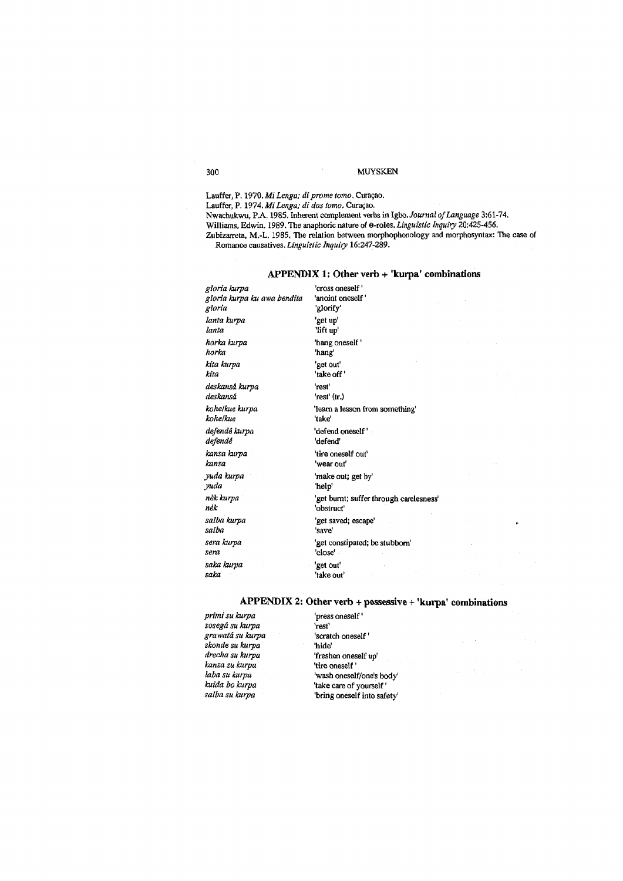Lauffer, P. 1970. *Mi Lenga; di prome tomo*. Curaçao. Lauffer, P. 1974. Mi Lenga; di dos tomo. Curaçao. Nwachukwu, PA. 1985. Inherent complement verbs in Igbo. *Journal of Language* 3:61-74. Williams, Edwin. 1989. The anaphoric nature of e-roles. *Linguistic Inquiry* 20:425-456. Zubizarreta, M.-L. 1985. The relation between morphophonology and morphosyntax: The ease of Romance causatives. *Linguistic Inquiry* 16:247-289.

## **APPENDIX 1: Other verb + 'kurpa' combinations**

*gloria kurpa* 'cross oneself' *gloria kurpa kuawa bendita* 'anoint oneself' *gloria* 'glorify' *lanta kurpa* 'get up' *lanta* 'lift up' *horka kurpa* 'hang oneself' *horka* 'hang' *kita kurpa* 'get out' *kita* 'take off' *deskansá kurpa* 'rest' *deskansá* 'rest' (tr.) *kohe/kue* 'take' *defendé kurpa* 'defend oneself'<br>*defendé* 'defend' defendé *kansa kurpa* 'tire oneself out' *kansa* 'wear out' *yuda kurpa* 'make out; get by' *yuda* 'help' *nék* 'obstruct' *salba kurpa* 'get saved; escape' *salba* 'save' *sera* 'close' *saka kurpa* 'get out' *saka* 'take out'

*kohelkue kurpa* 'leam a lesson from something' *nek kurpa* 'get burnt; suffer through carelesness' *sera kurpa* 'get constipated; be stubborn'

## **APPENDIX 2: Other verb + possessive + 'kurpa' combinations**

*primi su kurpa* 'press oneself' *sosegd su kurpa* 'rest' *grawata su kurpa* 'scratch oneself' *skonde su kurpa* 'hide' *drecha su kurpa* 'freshen oneself up' *kansa su kurpa* 'tire oneself'

*laba su kurpa* 'wash oneself/one's body' 'take care of yourself' *salba su kurpa* 'bring oneself into safety'